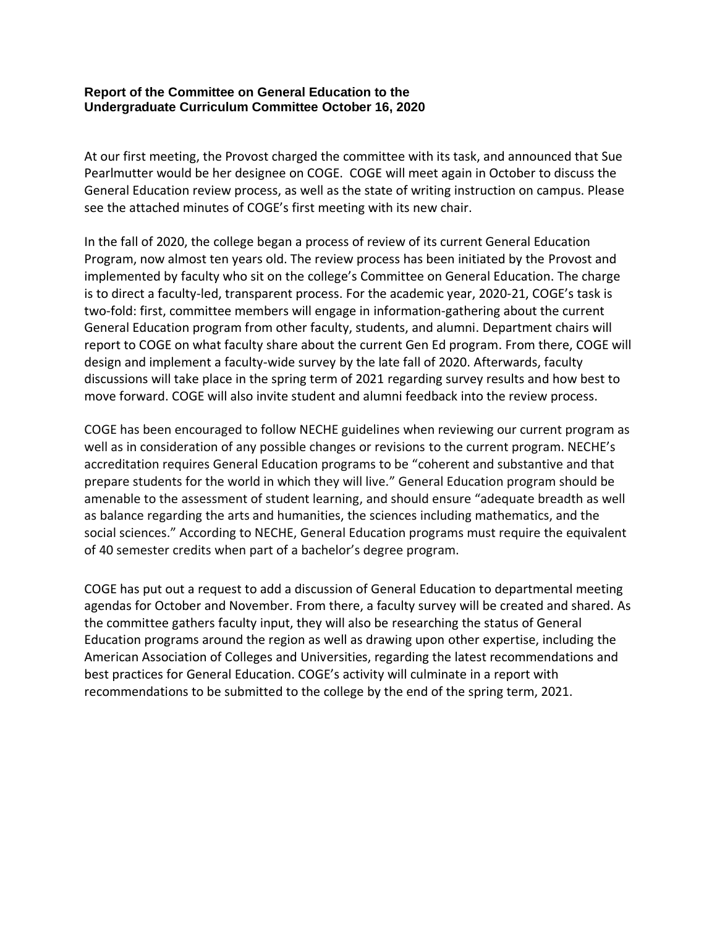### **Report of the Committee on General Education to the Undergraduate Curriculum Committee October 16, 2020**

At our first meeting, the Provost charged the committee with its task, and announced that Sue Pearlmutter would be her designee on COGE. COGE will meet again in October to discuss the General Education review process, as well as the state of writing instruction on campus. Please see the attached minutes of COGE's first meeting with its new chair.

In the fall of 2020, the college began a process of review of its current General Education Program, now almost ten years old. The review process has been initiated by the Provost and implemented by faculty who sit on the college's Committee on General Education. The charge is to direct a faculty-led, transparent process. For the academic year, 2020-21, COGE's task is two-fold: first, committee members will engage in information-gathering about the current General Education program from other faculty, students, and alumni. Department chairs will report to COGE on what faculty share about the current Gen Ed program. From there, COGE will design and implement a faculty-wide survey by the late fall of 2020. Afterwards, faculty discussions will take place in the spring term of 2021 regarding survey results and how best to move forward. COGE will also invite student and alumni feedback into the review process.

COGE has been encouraged to follow NECHE guidelines when reviewing our current program as well as in consideration of any possible changes or revisions to the current program. NECHE's accreditation requires General Education programs to be "coherent and substantive and that prepare students for the world in which they will live." General Education program should be amenable to the assessment of student learning, and should ensure "adequate breadth as well as balance regarding the arts and humanities, the sciences including mathematics, and the social sciences." According to NECHE, General Education programs must require the equivalent of 40 semester credits when part of a bachelor's degree program.

COGE has put out a request to add a discussion of General Education to departmental meeting agendas for October and November. From there, a faculty survey will be created and shared. As the committee gathers faculty input, they will also be researching the status of General Education programs around the region as well as drawing upon other expertise, including the American Association of Colleges and Universities, regarding the latest recommendations and best practices for General Education. COGE's activity will culminate in a report with recommendations to be submitted to the college by the end of the spring term, 2021.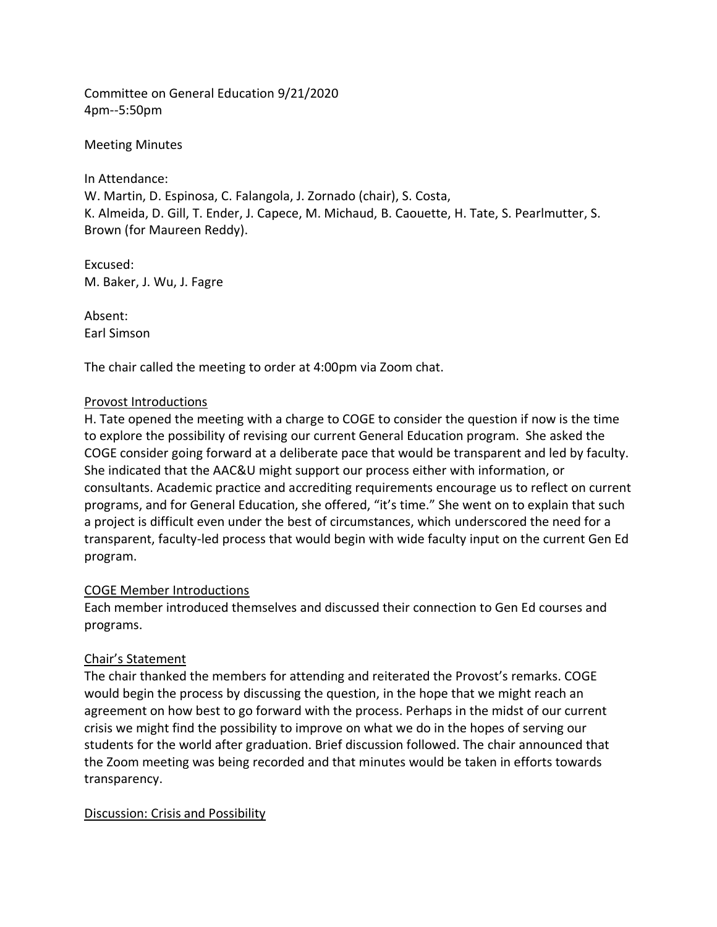Committee on General Education 9/21/2020 4pm--5:50pm

Meeting Minutes

In Attendance: W. Martin, D. Espinosa, C. Falangola, J. Zornado (chair), S. Costa, K. Almeida, D. Gill, T. Ender, J. Capece, M. Michaud, B. Caouette, H. Tate, S. Pearlmutter, S. Brown (for Maureen Reddy).

Excused: M. Baker, J. Wu, J. Fagre

Absent: Earl Simson

The chair called the meeting to order at 4:00pm via Zoom chat.

# Provost Introductions

H. Tate opened the meeting with a charge to COGE to consider the question if now is the time to explore the possibility of revising our current General Education program. She asked the COGE consider going forward at a deliberate pace that would be transparent and led by faculty. She indicated that the AAC&U might support our process either with information, or consultants. Academic practice and accrediting requirements encourage us to reflect on current programs, and for General Education, she offered, "it's time." She went on to explain that such a project is difficult even under the best of circumstances, which underscored the need for a transparent, faculty-led process that would begin with wide faculty input on the current Gen Ed program.

# COGE Member Introductions

Each member introduced themselves and discussed their connection to Gen Ed courses and programs.

# Chair's Statement

The chair thanked the members for attending and reiterated the Provost's remarks. COGE would begin the process by discussing the question, in the hope that we might reach an agreement on how best to go forward with the process. Perhaps in the midst of our current crisis we might find the possibility to improve on what we do in the hopes of serving our students for the world after graduation. Brief discussion followed. The chair announced that the Zoom meeting was being recorded and that minutes would be taken in efforts towards transparency.

# Discussion: Crisis and Possibility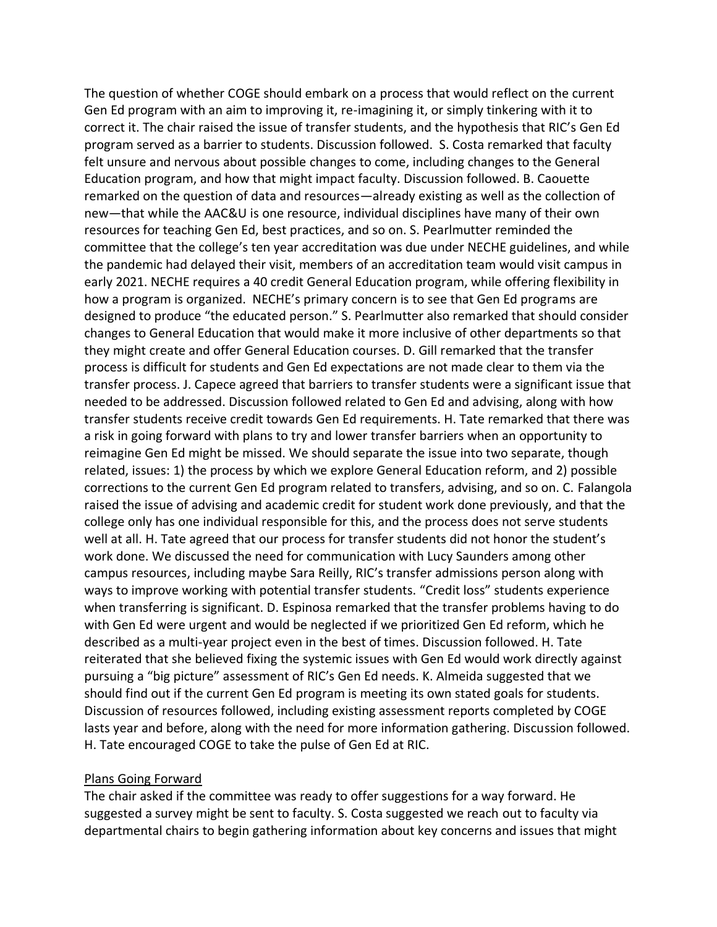The question of whether COGE should embark on a process that would reflect on the current Gen Ed program with an aim to improving it, re-imagining it, or simply tinkering with it to correct it. The chair raised the issue of transfer students, and the hypothesis that RIC's Gen Ed program served as a barrier to students. Discussion followed. S. Costa remarked that faculty felt unsure and nervous about possible changes to come, including changes to the General Education program, and how that might impact faculty. Discussion followed. B. Caouette remarked on the question of data and resources—already existing as well as the collection of new—that while the AAC&U is one resource, individual disciplines have many of their own resources for teaching Gen Ed, best practices, and so on. S. Pearlmutter reminded the committee that the college's ten year accreditation was due under NECHE guidelines, and while the pandemic had delayed their visit, members of an accreditation team would visit campus in early 2021. NECHE requires a 40 credit General Education program, while offering flexibility in how a program is organized. NECHE's primary concern is to see that Gen Ed programs are designed to produce "the educated person." S. Pearlmutter also remarked that should consider changes to General Education that would make it more inclusive of other departments so that they might create and offer General Education courses. D. Gill remarked that the transfer process is difficult for students and Gen Ed expectations are not made clear to them via the transfer process. J. Capece agreed that barriers to transfer students were a significant issue that needed to be addressed. Discussion followed related to Gen Ed and advising, along with how transfer students receive credit towards Gen Ed requirements. H. Tate remarked that there was a risk in going forward with plans to try and lower transfer barriers when an opportunity to reimagine Gen Ed might be missed. We should separate the issue into two separate, though related, issues: 1) the process by which we explore General Education reform, and 2) possible corrections to the current Gen Ed program related to transfers, advising, and so on. C. Falangola raised the issue of advising and academic credit for student work done previously, and that the college only has one individual responsible for this, and the process does not serve students well at all. H. Tate agreed that our process for transfer students did not honor the student's work done. We discussed the need for communication with Lucy Saunders among other campus resources, including maybe Sara Reilly, RIC's transfer admissions person along with ways to improve working with potential transfer students. "Credit loss" students experience when transferring is significant. D. Espinosa remarked that the transfer problems having to do with Gen Ed were urgent and would be neglected if we prioritized Gen Ed reform, which he described as a multi-year project even in the best of times. Discussion followed. H. Tate reiterated that she believed fixing the systemic issues with Gen Ed would work directly against pursuing a "big picture" assessment of RIC's Gen Ed needs. K. Almeida suggested that we should find out if the current Gen Ed program is meeting its own stated goals for students. Discussion of resources followed, including existing assessment reports completed by COGE lasts year and before, along with the need for more information gathering. Discussion followed. H. Tate encouraged COGE to take the pulse of Gen Ed at RIC.

### Plans Going Forward

The chair asked if the committee was ready to offer suggestions for a way forward. He suggested a survey might be sent to faculty. S. Costa suggested we reach out to faculty via departmental chairs to begin gathering information about key concerns and issues that might